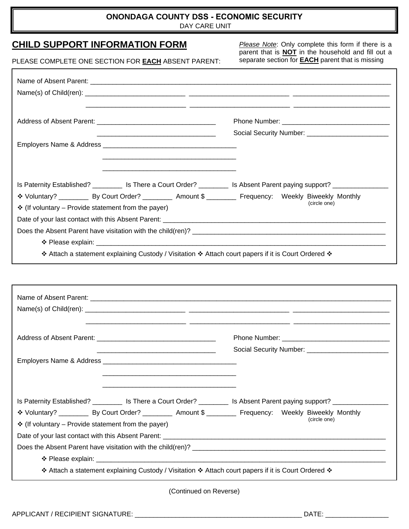## **ONONDAGA COUNTY DSS - ECONOMIC SECURITY**

DAY CARE UNIT

## **CHILD SUPPORT INFORMATION FORM**

*Please Note*: Only complete this form if there is a parent that is **NOT** in the household and fill out a separate section for **EACH** parent that is missing

| PLEASE COMPLETE ONE SECTION FOR <b>EACH</b> ABSENT PARENT: |  |  |  |
|------------------------------------------------------------|--|--|--|
|------------------------------------------------------------|--|--|--|

| Is Paternity Established? ________ Is There a Court Order? ________ Is Absent Parent paying support? ____________ |              |
|-------------------------------------------------------------------------------------------------------------------|--------------|
| * Voluntary? _____________ By Court Order? ____________ Amount \$ ___________ Frequency: Weekly Biweekly Monthly  |              |
| $\div$ (If voluntary – Provide statement from the payer)                                                          | (circle one) |
|                                                                                                                   |              |
|                                                                                                                   |              |
|                                                                                                                   |              |
| * Attach a statement explaining Custody / Visitation * Attach court papers if it is Court Ordered *               |              |
|                                                                                                                   |              |
|                                                                                                                   |              |
|                                                                                                                   |              |
|                                                                                                                   |              |
|                                                                                                                   |              |
|                                                                                                                   |              |

Employers Name & Address **Employers** Name & Address **Andrew 2014**  $\frac{1}{2}$  ,  $\frac{1}{2}$  ,  $\frac{1}{2}$  ,  $\frac{1}{2}$  ,  $\frac{1}{2}$  ,  $\frac{1}{2}$  ,  $\frac{1}{2}$  ,  $\frac{1}{2}$  ,  $\frac{1}{2}$  ,  $\frac{1}{2}$  ,  $\frac{1}{2}$  ,  $\frac{1}{2}$  ,  $\frac{1}{2}$  ,  $\frac{1}{2}$  ,  $\frac{1}{2}$  ,  $\frac{1}{2}$  ,  $\frac{1}{2}$  ,  $\frac{1}{2}$  ,  $\frac{1$  $\frac{1}{2}$  ,  $\frac{1}{2}$  ,  $\frac{1}{2}$  ,  $\frac{1}{2}$  ,  $\frac{1}{2}$  ,  $\frac{1}{2}$  ,  $\frac{1}{2}$  ,  $\frac{1}{2}$  ,  $\frac{1}{2}$  ,  $\frac{1}{2}$  ,  $\frac{1}{2}$  ,  $\frac{1}{2}$  ,  $\frac{1}{2}$  ,  $\frac{1}{2}$  ,  $\frac{1}{2}$  ,  $\frac{1}{2}$  ,  $\frac{1}{2}$  ,  $\frac{1}{2}$  ,  $\frac{1$ Is Paternity Established? \_\_\_\_\_\_\_\_ Is There a Court Order? \_\_\_\_\_\_\_\_ Is Absent Parent paying support? \_\_\_\_\_\_\_\_\_\_\_\_\_\_\_

| IS Paternity Established? The There a Court Order? The Tangle of Absent Parent paying support? |                               |                                    |              |  |
|------------------------------------------------------------------------------------------------|-------------------------------|------------------------------------|--------------|--|
| ❖ Voluntary? ____________ By Court Order? ____________ Amount \$ __________                    |                               | Frequency: Weekly Biweekly Monthly | (circle one) |  |
| $\div$ (If voluntary – Provide statement from the payer)                                       |                               |                                    |              |  |
| Date of your last contact with this Absent Parent: _____________________________               |                               |                                    |              |  |
| Does the Absent Parent have visitation with the child(ren)? ____________________               |                               |                                    |              |  |
|                                                                                                | $\div$ Please explain: $\Box$ |                                    |              |  |
|                                                                                                |                               |                                    |              |  |

\_\_\_\_\_\_\_\_\_\_\_\_\_\_\_\_\_\_\_\_\_\_\_\_\_\_\_\_\_\_\_\_ Social Security Number: \_\_\_\_\_\_\_\_\_\_\_\_\_\_\_\_\_\_\_\_\_\_

\* Attach a statement explaining Custody / Visitation \* Attach court papers if it is Court Ordered \*

(Continued on Reverse)